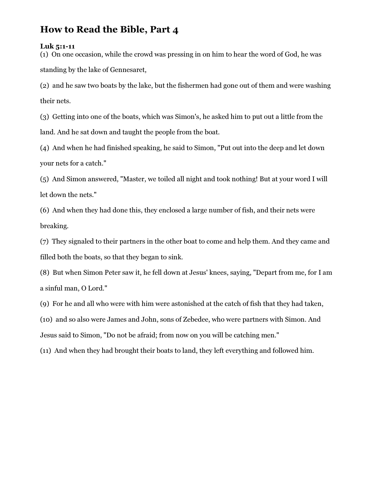# How to Read the Bible, Part 4

#### Luk 5:1-11

(1) On one occasion, while the crowd was pressing in on him to hear the word of God, he was standing by the lake of Gennesaret,

(2) and he saw two boats by the lake, but the fishermen had gone out of them and were washing their nets.

(3) Getting into one of the boats, which was Simon's, he asked him to put out a little from the land. And he sat down and taught the people from the boat.

(4) And when he had finished speaking, he said to Simon, "Put out into the deep and let down your nets for a catch."

(5) And Simon answered, "Master, we toiled all night and took nothing! But at your word I will let down the nets."

(6) And when they had done this, they enclosed a large number of fish, and their nets were breaking.

(7) They signaled to their partners in the other boat to come and help them. And they came and filled both the boats, so that they began to sink.

(8) But when Simon Peter saw it, he fell down at Jesus' knees, saying, "Depart from me, for I am a sinful man, O Lord."

(9) For he and all who were with him were astonished at the catch of fish that they had taken,

(10) and so also were James and John, sons of Zebedee, who were partners with Simon. And Jesus said to Simon, "Do not be afraid; from now on you will be catching men."

(11) And when they had brought their boats to land, they left everything and followed him.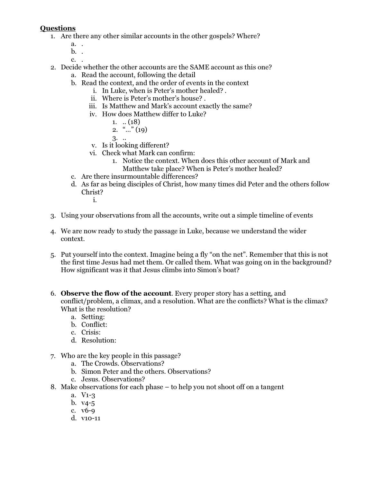### Questions

- 1. Are there any other similar accounts in the other gospels? Where?
	- a. .
	- b. .
	- c. .
- 2. Decide whether the other accounts are the SAME account as this one?
	- a. Read the account, following the detail
	- b. Read the context, and the order of events in the context
		- i. In Luke, when is Peter's mother healed? .
		- ii. Where is Peter's mother's house? .
		- iii. Is Matthew and Mark's account exactly the same?
		- iv. How does Matthew differ to Luke?
			- 1.  $\ldots$  (18)
			- 2. "…" (19)
			- 3. ..
		- v. Is it looking different?
		- vi. Check what Mark can confirm:
			- 1. Notice the context. When does this other account of Mark and Matthew take place? When is Peter's mother healed?
	- c. Are there insurmountable differences?
	- d. As far as being disciples of Christ, how many times did Peter and the others follow Christ?
		- i.
- 3. Using your observations from all the accounts, write out a simple timeline of events
- 4. We are now ready to study the passage in Luke, because we understand the wider context.
- 5. Put yourself into the context. Imagine being a fly "on the net". Remember that this is not the first time Jesus had met them. Or called them. What was going on in the background? How significant was it that Jesus climbs into Simon's boat?
- 6. Observe the flow of the account. Every proper story has a setting, and conflict/problem, a climax, and a resolution. What are the conflicts? What is the climax? What is the resolution?
	- a. Setting:
	- b. Conflict:
	- c. Crisis:
	- d. Resolution:
- 7. Who are the key people in this passage?
	- a. The Crowds. Observations?
	- b. Simon Peter and the others. Observations?
	- c. Jesus. Observations?
- 8. Make observations for each phase to help you not shoot off on a tangent
	- a. V1-3
	- b. v4-5
	- c. v6-9
	- d. v10-11